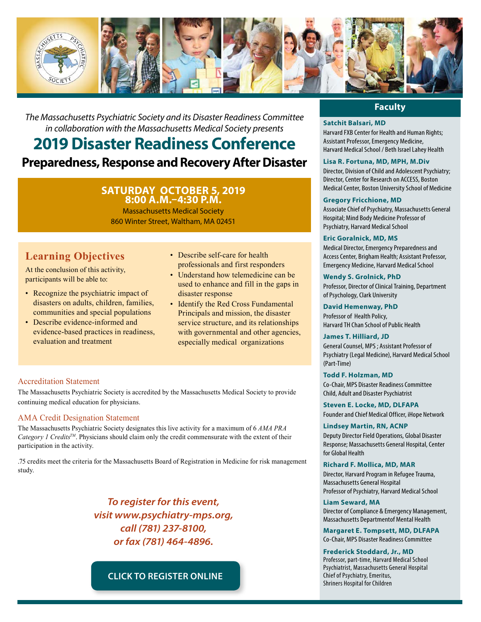

*The Massachusetts Psychiatric Society and its Disaster Readiness Committee in collaboration with the Massachusetts Medical Society presents*

# **2019 Disaster Readiness Conference Preparedness, Response and Recovery After Disaster**

#### **SATURDAY OCTOBER 5, 2019 8:00 A.M.–4:30 P.M.**

Massachusetts Medical Society 860 Winter Street, Waltham, MA 02451

## **Learning Objectives**

At the conclusion of this activity, participants will be able to:

- Recognize the psychiatric impact of disasters on adults, children, families, communities and special populations
- Describe evidence-informed and evidence-based practices in readiness, evaluation and treatment
- Describe self-care for health professionals and first responders
- Understand how telemedicine can be used to enhance and fill in the gaps in disaster response
- Identify the Red Cross Fundamental Principals and mission, the disaster service structure, and its relationships with governmental and other agencies, especially medical organizations

#### Accreditation Statement

The Massachusetts Psychiatric Society is accredited by the Massachusetts Medical Society to provide continuing medical education for physicians.

#### AMA Credit Designation Statement

The Massachusetts Psychiatric Society designates this live activity for a maximum of 6 *AMA PRA Category 1 CreditsTM*. Physicians should claim only the credit commensurate with the extent of their participation in the activity.

.75 credits meet the criteria for the Massachusetts Board of Registration in Medicine for risk management study.

> *To register for this event, visit www.psychiatry-mps.org, call (781) 237-8100, or fax (781) 464-4896.*

## **[CLICK TO REGISTER ONLINE](https://maps.memberclicks.net/index.php?option=com_mc&view=mc&mcid=form_262524)**

### **Faculty**

#### **Satchit Balsari, MD**

Harvard FXB Center for Health and Human Rights; Assistant Professor, Emergency Medicine, Harvard Medical School / Beth Israel Lahey Health

#### **Lisa R. Fortuna, MD, MPH, M.Div**

Director, Division of Child and Adolescent Psychiatry; Director, Center for Research on ACCESS, Boston Medical Center, Boston University School of Medicine

#### **Gregory Fricchione, MD**

Associate Chief of Psychiatry, Massachusetts General Hospital; Mind Body Medicine Professor of Psychiatry, Harvard Medical School

#### **Eric Goralnick, MD, MS**

Medical Director, Emergency Preparedness and Access Center, Brigham Health; Assistant Professor, Emergency Medicine, Harvard Medical School

#### **Wendy S. Grolnick, PhD**

Professor, Director of Clinical Training, Department of Psychology, Clark University

**David Hemenway, PhD** Professor of Health Policy,

Harvard TH Chan School of Public Health

#### **James T. Hilliard, JD**

General Counsel, MPS ; Assistant Professor of Psychiatry (Legal Medicine), Harvard Medical School (Part-Time)

#### **Todd F. Holzman, MD**

Co-Chair, MPS Disaster Readiness Committee Child, Adult and Disaster Psychiatrist

**Steven E. Locke, MD, DLFAPA** Founder and Chief Medical Officer, iHope Network

#### **Lindsey Martin, RN, ACNP**

Deputy Director Field Operations, Global Disaster Response; Massachusetts General Hospital, Center for Global Health

## **Richard F. Mollica, MD, MAR**

Director, Harvard Program in Refugee Trauma, Massachusetts General Hospital Professor of Psychiatry, Harvard Medical School

#### **Liam Seward, MA**

Director of Compliance & Emergency Management, Massachusetts Departmentof Mental Health

**Margaret E. Tompsett, MD, DLFAPA** Co-Chair, MPS Disaster Readiness Committee

**Frederick Stoddard, Jr., MD** Professor, part-time, Harvard Medical School Psychiatrist, Massachusetts General Hospital Chief of Psychiatry, Emeritus, Shriners Hospital for Children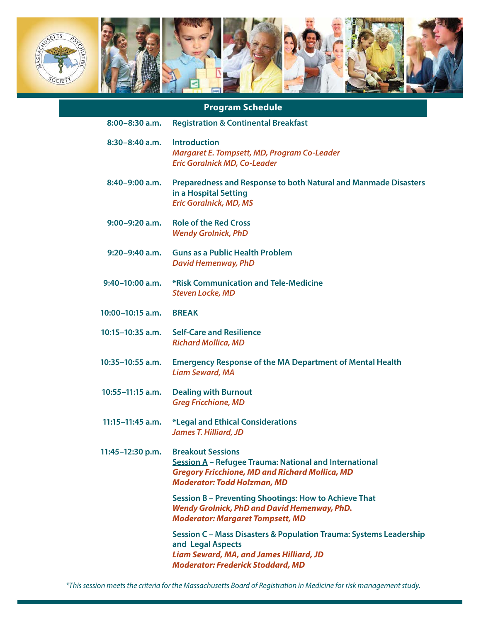

## **Program Schedule**

| 8:00-8:30 a.m.       | <b>Registration &amp; Continental Breakfast</b>                                                                                                                                          |
|----------------------|------------------------------------------------------------------------------------------------------------------------------------------------------------------------------------------|
| 8:30-8:40 a.m.       | <b>Introduction</b><br><b>Margaret E. Tompsett, MD, Program Co-Leader</b><br><b>Eric Goralnick MD, Co-Leader</b>                                                                         |
| $8:40-9:00$ a.m.     | Preparedness and Response to both Natural and Manmade Disasters<br>in a Hospital Setting<br><b>Eric Goralnick, MD, MS</b>                                                                |
| $9:00-9:20$ a.m.     | <b>Role of the Red Cross</b><br><b>Wendy Grolnick, PhD</b>                                                                                                                               |
| $9:20-9:40$ a.m.     | <b>Guns as a Public Health Problem</b><br><b>David Hemenway, PhD</b>                                                                                                                     |
| $9:40-10:00$ a.m.    | *Risk Communication and Tele-Medicine<br><b>Steven Locke, MD</b>                                                                                                                         |
| $10:00 - 10:15$ a.m. | <b>BREAK</b>                                                                                                                                                                             |
| 10:15-10:35 a.m.     | <b>Self-Care and Resilience</b><br><b>Richard Mollica, MD</b>                                                                                                                            |
| $10:35-10:55$ a.m.   | <b>Emergency Response of the MA Department of Mental Health</b><br><b>Liam Seward, MA</b>                                                                                                |
| $10:55 - 11:15$ a.m. | <b>Dealing with Burnout</b><br><b>Greg Fricchione, MD</b>                                                                                                                                |
| $11:15 - 11:45$ a.m. | *Legal and Ethical Considerations<br><b>James T. Hilliard, JD</b>                                                                                                                        |
| 11:45-12:30 p.m.     | <b>Breakout Sessions</b><br><b>Session A</b> - Refugee Trauma: National and International<br><b>Gregory Fricchione, MD and Richard Mollica, MD</b><br><b>Moderator: Todd Holzman, MD</b> |
|                      | Session B - Preventing Shootings: How to Achieve That<br><b>Wendy Grolnick, PhD and David Hemenway, PhD.</b><br><b>Moderator: Margaret Tompsett, MD</b>                                  |
|                      | Session C - Mass Disasters & Population Trauma: Systems Leadership<br>and Legal Aspects<br><b>Liam Seward, MA, and James Hilliard, JD</b><br><b>Moderator: Frederick Stoddard, MD</b>    |

*\*This session meets the criteria for the Massachusetts Board of Registration in Medicine for risk management study***.**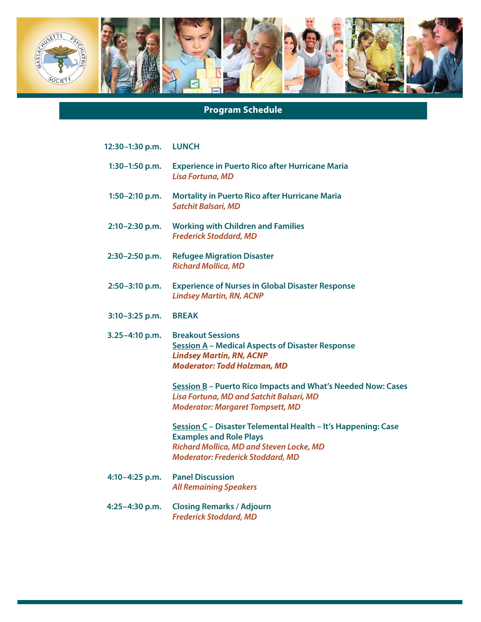

## **Program Schedule**

| 12:30-1:30 p.m.    | <b>LUNCH</b>                                                                                                                                                                                   |
|--------------------|------------------------------------------------------------------------------------------------------------------------------------------------------------------------------------------------|
| 1:30-1:50 p.m.     | <b>Experience in Puerto Rico after Hurricane Maria</b><br>Lisa Fortuna, MD                                                                                                                     |
| $1:50-2:10$ p.m.   | <b>Mortality in Puerto Rico after Hurricane Maria</b><br><b>Satchit Balsari, MD</b>                                                                                                            |
| $2:10-2:30$ p.m.   | <b>Working with Children and Families</b><br><b>Frederick Stoddard, MD</b>                                                                                                                     |
| 2:30-2:50 p.m.     | <b>Refugee Migration Disaster</b><br><b>Richard Mollica, MD</b>                                                                                                                                |
| $2:50 - 3:10$ p.m. | <b>Experience of Nurses in Global Disaster Response</b><br><b>Lindsey Martin, RN, ACNP</b>                                                                                                     |
| $3:10-3:25$ p.m.   | <b>BREAK</b>                                                                                                                                                                                   |
| $3.25 - 4:10$ p.m. | <b>Breakout Sessions</b><br><b>Session A - Medical Aspects of Disaster Response</b><br><b>Lindsey Martin, RN, ACNP</b><br><b>Moderator: Todd Holzman, MD</b>                                   |
|                    | <b>Session B</b> - Puerto Rico Impacts and What's Needed Now: Cases<br>Lisa Fortuna, MD and Satchit Balsari, MD<br><b>Moderator: Margaret Tompsett, MD</b>                                     |
|                    | Session C - Disaster Telemental Health - It's Happening: Case<br><b>Examples and Role Plays</b><br><b>Richard Mollica, MD and Steven Locke, MD</b><br><b>Moderator: Frederick Stoddard, MD</b> |
| $4:10-4:25$ p.m.   | <b>Panel Discussion</b><br><b>All Remaining Speakers</b>                                                                                                                                       |
| 4:25-4:30 p.m.     | <b>Closing Remarks / Adjourn</b><br><b>Frederick Stoddard, MD</b>                                                                                                                              |